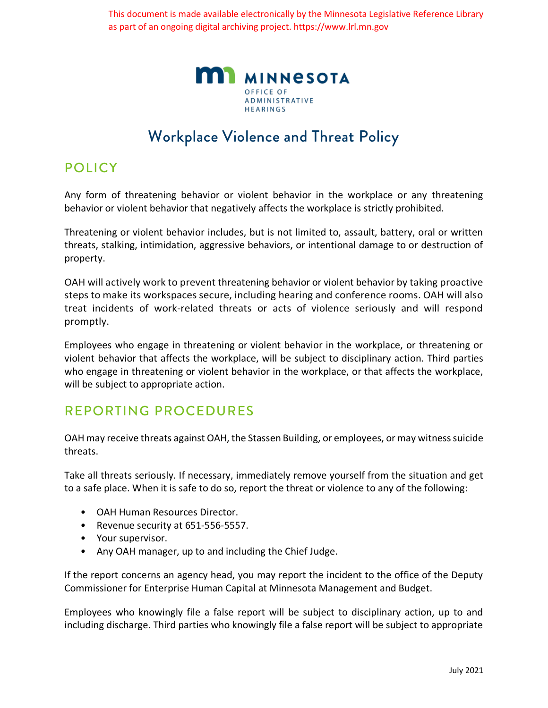This document is made available electronically by the Minnesota Legislative Reference Library as part of an ongoing digital archiving project. https://www.lrl.mn.gov



# Workplace Violence and Threat Policy

## POLICY

Any form of threatening behavior or violent behavior in the workplace or any threatening behavior or violent behavior that negatively affects the workplace is strictly prohibited.

Threatening or violent behavior includes, but is not limited to, assault, battery, oral or written threats, stalking, intimidation, aggressive behaviors, or intentional damage to or destruction of property.

OAH will actively work to prevent threatening behavior or violent behavior by taking proactive steps to make its workspaces secure, including hearing and conference rooms. OAH will also treat incidents of work-related threats or acts of violence seriously and will respond promptly.

Employees who engage in threatening or violent behavior in the workplace, or threatening or violent behavior that affects the workplace, will be subject to disciplinary action. Third parties who engage in threatening or violent behavior in the workplace, or that affects the workplace, will be subject to appropriate action.

## REPORTING PROCEDURES

OAH may receive threats against OAH, the Stassen Building, or employees, or may witness suicide threats.

Take all threats seriously. If necessary, immediately remove yourself from the situation and get to a safe place. When it is safe to do so, report the threat or violence to any of the following:

- OAH Human Resources Director.
- Revenue security at 651-556-5557.
- Your supervisor.
- Any OAH manager, up to and including the Chief Judge.

If the report concerns an agency head, you may report the incident to the office of the Deputy Commissioner for Enterprise Human Capital at Minnesota Management and Budget.

Employees who knowingly file a false report will be subject to disciplinary action, up to and including discharge. Third parties who knowingly file a false report will be subject to appropriate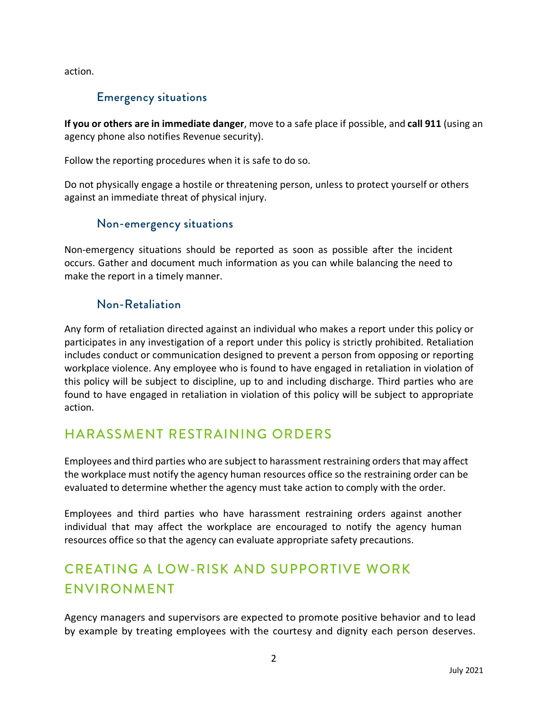action.

### Emergency situations

**If you or others are in immediate danger**, move to a safe place if possible, and **call 911** (using an agency phone also notifies Revenue security).

Follow the reporting procedures when it is safe to do so.

Do not physically engage a hostile or threatening person, unless to protect yourself or others against an immediate threat of physical injury.

#### Non-emergency situations

Non-emergency situations should be reported as soon as possible after the incident occurs. Gather and document much information as you can while balancing the need to make the report in a timely manner.

### Non-Retaliation

Any form of retaliation directed against an individual who makes a report under this policy or participates in any investigation of a report under this policy is strictly prohibited. Retaliation includes conduct or communication designed to prevent a person from opposing or reporting workplace violence. Any employee who is found to have engaged in retaliation in violation of this policy will be subject to discipline, up to and including discharge. Third parties who are found to have engaged in retaliation in violation of this policy will be subject to appropriate action.

# HARASSMENT RESTRAINING ORDERS

Employees and third parties who are subject to harassment restraining orders that may affect the workplace must notify the agency human resources office so the restraining order can be evaluated to determine whether the agency must take action to comply with the order.

Employees and third parties who have harassment restraining orders against another individual that may affect the workplace are encouraged to notify the agency human resources office so that the agency can evaluate appropriate safety precautions.

# CREATING A LOW-RISK AND SUPPORTIVE WORK ENVIRONMENT

Agency managers and supervisors are expected to promote positive behavior and to lead by example by treating employees with the courtesy and dignity each person deserves.